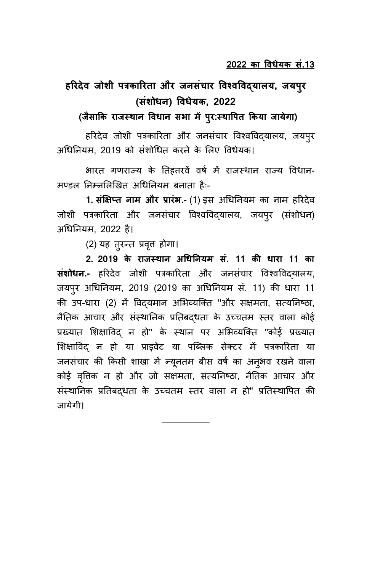# हरिदेव जोशी पत्रकारिता और जनसंचार विश्वविदयालय, जयपुर **(संशोधन) विधेयक 2022**

(जैसाकि राजस्थान विधान सभा में प्**र:स्थापित किया जायेगा)** 

हरिदेव जोशी पत्रकारिता और जनसंचार विश्वविद्यालय, जयपूर अधिनियम. 2019 को संशोधित करने के लिए विधेयक।

भारत गणराज्य के तिहत्तरवें वर्ष में राजस्थान राज्य विधान-मण्डल निम्नलिखित अधिनियम बनाता है:-

1. सं**क्षिप्त नाम और प्रारंभ.-** (1) इस अधिनियम का नाम हरिदेव जोशी पत्रकारिता और जनसंचार विश्वविदयालय, जयपुर (संशोधन) अधिनियम, 2022 है।

(2) याह तरिन्त प्रवत्तृ होगा।

<u>2. 2019 के राजस्थान अधिनियम सं. 11 की धारा 11 का</u> **संशोधन.-** हरिदेव जोशी पत्रकारिता और जनसंचार विश्वविद्यालय, जयपुर अधिनियम, 2019 (2019 का अधिनियम सं. 11) की धारा 11 की उप-धारा (2) में विदयमान अभिव्यक्ति "और सक्षमता, सत्यनिष्ठा, नैतिक आचार और संस्थानिक प्रतिबदधता के उच्चतम स्तर वाला कोई प्रख्यात शिक्षाविद न हो" के स्थान पर अभिव्यक्ति "कोई प्रख्यात शिक्षाविद न हो या प्राइवेट या पब्लिक सेक्टर में पत्रकारिता या जनसंचार की किसी शाखा में न्यूनतम बीस वर्ष का अनूभव रखने वाला कोई वृत्तिक न हो और जो सक्षमता, सत्यनिष्ठा, नैतिक आचार और संस्थानिक प्रतिबद्धता के उच्चतम स्तर वाला न हो" प्रतिस्थापित की जायाेगी।

\_\_\_\_\_\_\_\_\_\_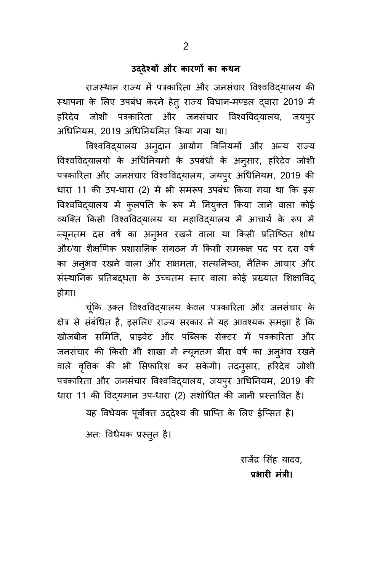### **उ्देश्यों औि कािणों का कथन**

राजस्थान राज्य में पत्रकारिता और जनसंचार विश्वविद्यालय की स्थापना के लिए उपबंध करने हेतु राज्य विधान-मण्डल द्वारा 2019 में हरिदेव जोशी पत्रकारिता और जनसंचार विश्वविद्यालय, जयपुर अधिनियम, 2019 अधिनियमित किया गया था।

विश्वविद्यालय अनुदान आयोग विनियमों और अन्य राज्य विश्वविद्यालयों के अधिनियमों के उपबंधों के अनुसार, हरिदेव जोशी पत्रकारिता और जनसंचार विश्वविद्यालय, जयपुर अधिनियम, 2019 की धारा 11 की उप-धारा (2) में भी समरूप उपबंध किया गया था कि इस विश्वविद्यालय में कुलपति के रूप में नियुक्त किया जाने वाला कोई व्यक्ति किसी विश्वविद्यालय या महाविद्यालय में आचार्य के रूप में न्यूनतम दस वर्ष का अन्3मव रखने वाला या किसी प्रतिष्ठित शोध और/या शैक्षणिक प्रशासनिक संगठन में किसी समकक्ष पद पर दस वर्ष का अनुभव रखने वाला और सक्षमता, सत्यनिष्ठा, नैतिक आचार और संस्थानिक प्रतिबद्धता के उच्चतम स्तर वाला कोई प्रख्यात शिक्षाविद् होगा।

चूंकि उक्त विश्वविदयालय केवल पत्रकारिता और जनसंचार के क्षेत्र से संबंधित है, इसलिए राज्य सरकार ने यह आवश्यक समझा है कि खोजबीन समिति, प्राइवेट और पब्लिक सेक्टर में पत्रकारिता और जनसंचार की किसी भी शाखा में न्यूनतम बीस वर्ष का अनुभव रखने वाले वृत्तिक की भी सिफारिश कर सकेगी। तदन्**सार, हरिदेव जोशी** पत्रकारिता और जनसंचार विश्वविद्यालय, जयपुर अधिनियम, 2019 की धारा 11 की विद्यमान उप-धारा (2) संशोधित की जानी प्रस्तावित है।

यह विधेयक पूर्वोक्त उद्देश्य की प्राप्ति के लिए ईप्सित है।

अत: विधेयक प्रस्तुत है।

राजेंद्र सिंह यादव, प्रभारी मंत्री।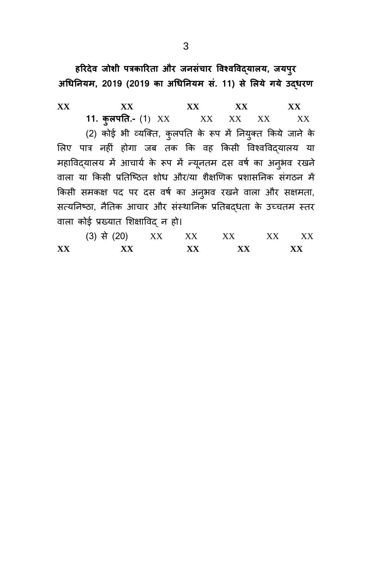हरिदेव जोशी पत्रकारिता और जनसंचार विश्वविद्**यालय, जयपु**र अधिनियम, 2019 (2019 का अधिनियम सं. 11) से लिये गये उद**धरण** 

**XX XX XX XX XX 11. करयपयत.-** (1) XX XX XX XX XX (2) कोई भी व्यक्ति, कुलपति के रूप में नियुक्त किये जाने के लिए पात्र नहीं होगा जब तक कि वह किसी विश्वविद्यालय या महाविद्यालय में आचार्य के रूप में न्यूनतम दस वर्ष का अनुभव रखने वाला या किसी प्रतिष्ठित शोध और/या शैक्षणिक प्रशासनिक संगठन में किसी समकक्ष पद पर दस वर्ष का अनुभव रखने वाला और सक्षमता, सत्यनिष्ठा, नैतिक आचार और संस्थानिक प्रतिबद्धता के उच्चतम स्तर वाला कोई प्रख्यात शिक्षाविद् न हो।

| XX | xх          |    | XX | XX                                               |                                                  | xх        |
|----|-------------|----|----|--------------------------------------------------|--------------------------------------------------|-----------|
|    | (3) से (20) | XX | XX | $\boldsymbol{\mathsf{X}}\boldsymbol{\mathsf{X}}$ | $\boldsymbol{\mathsf{X}}\boldsymbol{\mathsf{X}}$ | $\rm{XX}$ |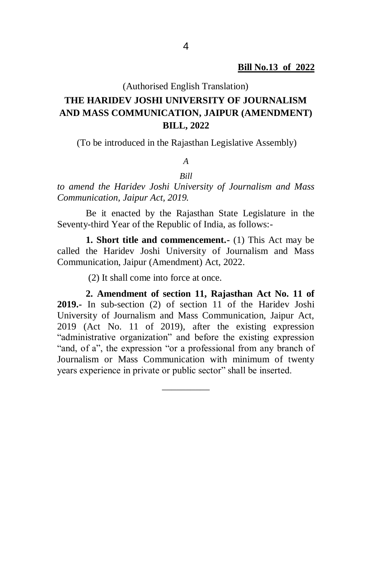(Authorised English Translation)

## **THE HARIDEV JOSHI UNIVERSITY OF JOURNALISM AND MASS COMMUNICATION, JAIPUR (AMENDMENT) BILL, 2022**

(To be introduced in the Rajasthan Legislative Assembly)

## *A*

*Bill to amend the Haridev Joshi University of Journalism and Mass Communication, Jaipur Act, 2019.*

Be it enacted by the Rajasthan State Legislature in the Seventy-third Year of the Republic of India, as follows:-

**1. Short title and commencement.-** (1) This Act may be called the Haridev Joshi University of Journalism and Mass Communication, Jaipur (Amendment) Act, 2022.

(2) It shall come into force at once.

**2. Amendment of section 11, Rajasthan Act No. 11 of 2019.-** In sub-section (2) of section 11 of the Haridev Joshi University of Journalism and Mass Communication, Jaipur Act, 2019 (Act No. 11 of 2019), after the existing expression "administrative organization" and before the existing expression "and, of a", the expression "or a professional from any branch of Journalism or Mass Communication with minimum of twenty years experience in private or public sector" shall be inserted.

\_\_\_\_\_\_\_\_\_\_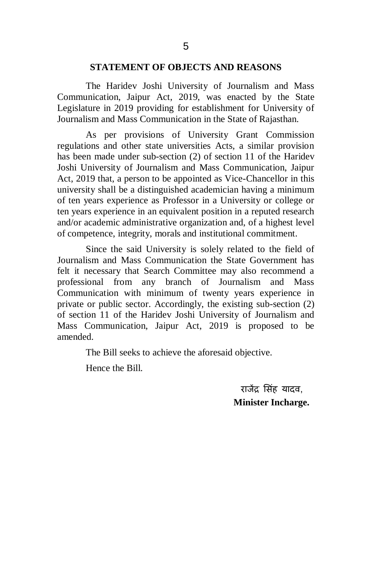#### **STATEMENT OF OBJECTS AND REASONS**

The Haridev Joshi University of Journalism and Mass Communication, Jaipur Act, 2019, was enacted by the State Legislature in 2019 providing for establishment for University of Journalism and Mass Communication in the State of Rajasthan.

As per provisions of University Grant Commission regulations and other state universities Acts, a similar provision has been made under sub-section (2) of section 11 of the Haridev Joshi University of Journalism and Mass Communication, Jaipur Act, 2019 that, a person to be appointed as Vice-Chancellor in this university shall be a distinguished academician having a minimum of ten years experience as Professor in a University or college or ten years experience in an equivalent position in a reputed research and/or academic administrative organization and, of a highest level of competence, integrity, morals and institutional commitment.

Since the said University is solely related to the field of Journalism and Mass Communication the State Government has felt it necessary that Search Committee may also recommend a professional from any branch of Journalism and Mass Communication with minimum of twenty years experience in private or public sector. Accordingly, the existing sub-section (2) of section 11 of the Haridev Joshi University of Journalism and Mass Communication, Jaipur Act, 2019 is proposed to be amended.

The Bill seeks to achieve the aforesaid objective.

Hence the Bill.

राजेंद्र सिंह यादव. **Minister Incharge.**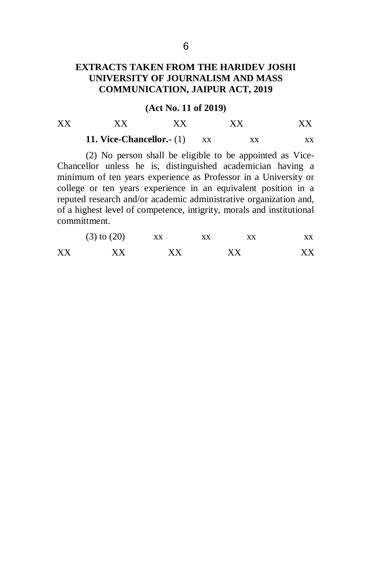## **EXTRACTS TAKEN FROM THE HARIDEV JOSHI UNIVERSITY OF JOURNALISM AND MASS COMMUNICATION, JAIPUR ACT, 2019**

#### **(Act No. 11 of 2019)**

| XX | ХX                         |    | XХ |  |
|----|----------------------------|----|----|--|
|    | 11. Vice-Chancellor. $(1)$ | XX |    |  |

(2) No person shall be eligible to be appointed as Vice-Chancellor unless he is, distinguished academician having a minimum of ten years experience as Professor in a University or college or ten years experience in an equivalent position in a reputed research and/or academic administrative organization and, of a highest level of competence, intigrity, morals and institutional committment.

|    | $(3)$ to $(20)$ | XX | XX | XX |
|----|-----------------|----|----|----|
| XX | XХ              | XХ | XХ | XX |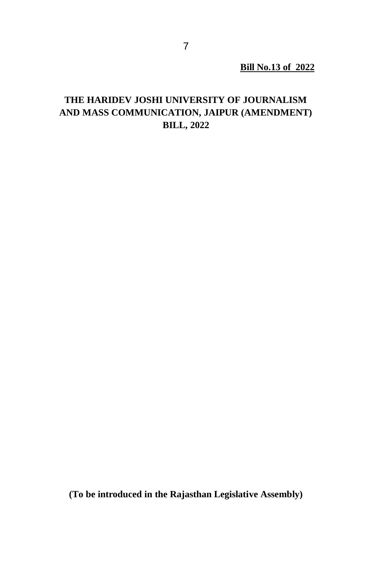**Bill No.13 of 2022**

## **THE HARIDEV JOSHI UNIVERSITY OF JOURNALISM AND MASS COMMUNICATION, JAIPUR (AMENDMENT) BILL, 2022**

**(To be introduced in the Rajasthan Legislative Assembly)**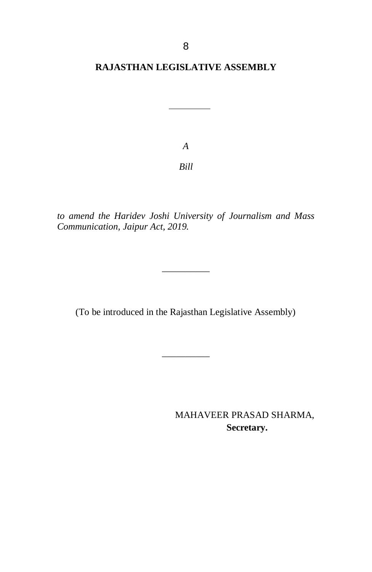### **RAJASTHAN LEGISLATIVE ASSEMBLY**

*A*

*Bill*

*to amend the Haridev Joshi University of Journalism and Mass Communication, Jaipur Act, 2019.*

(To be introduced in the Rajasthan Legislative Assembly)

\_\_\_\_\_\_\_\_\_\_

\_\_\_\_\_\_\_\_\_\_

MAHAVEER PRASAD SHARMA,  **Secretary.**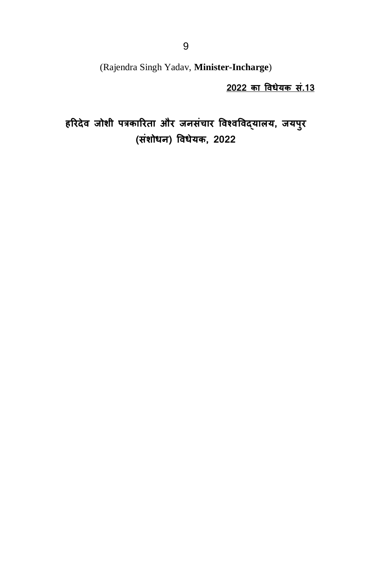(Rajendra Singh Yadav, **Minister-Incharge**)

**2022 का विधेयक सं.13** 

हरिदेव जोशी पत्रकारिता और जनसंचार विश्वविद्**यालय, जयपु**र **(संशोधन) विधेयक 2022**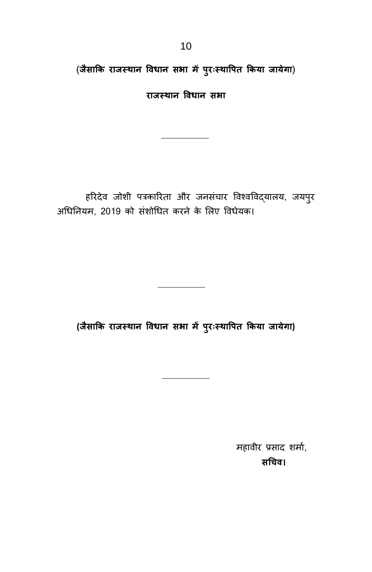(**जैसाकक िाजस् थान विधान स ा ं पपरिःस् थावपत ककया जाये ा**)

**िाजस् थान विधान स ा**

हरिदेव जोशी पत्रकारिता और जनसंचार विश्वविद्यालय, जयपुर अधिनियम, 2019 को संशोधित करने के लिए विधेयक।

**(जैसाकक िाजस् थान विधान स ा ं पपरिःस्थावपत ककया जाये ा)**

महावीर प्रसाद शर्मा, **सनचि।**